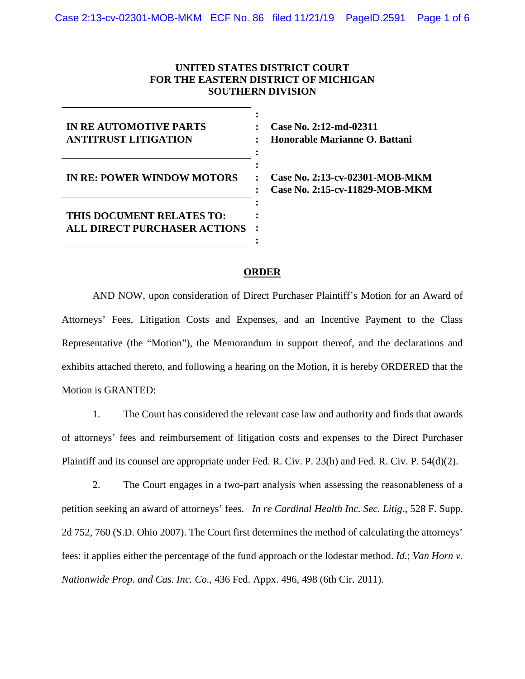## **UNITED STATES DISTRICT COURT FOR THE EASTERN DISTRICT OF MICHIGAN SOUTHERN DIVISION**

| <b>IN RE AUTOMOTIVE PARTS</b><br><b>ANTITRUST LITIGATION</b> |  |
|--------------------------------------------------------------|--|
| <b>IN RE: POWER WINDOW MOTORS</b>                            |  |
| THIS DOCUMENT RELATES TO:<br>ALL DIRECT PURCHASER ACTIONS    |  |

**Case No. 2:12-md-02311 Honorable Marianne O. Battani**

**Case No. 2:13-cv-02301-MOB-MKM Case No. 2:15-cv-11829-MOB-MKM**

## **ORDER**

AND NOW, upon consideration of Direct Purchaser Plaintiff's Motion for an Award of Attorneys' Fees, Litigation Costs and Expenses, and an Incentive Payment to the Class Representative (the "Motion"), the Memorandum in support thereof, and the declarations and exhibits attached thereto, and following a hearing on the Motion, it is hereby ORDERED that the Motion is GRANTED:

1. The Court has considered the relevant case law and authority and finds that awards of attorneys' fees and reimbursement of litigation costs and expenses to the Direct Purchaser Plaintiff and its counsel are appropriate under Fed. R. Civ. P. 23(h) and Fed. R. Civ. P. 54(d)(2).

2. The Court engages in a two-part analysis when assessing the reasonableness of a petition seeking an award of attorneys' fees. *In re Cardinal Health Inc. Sec. Litig.*, 528 F. Supp. 2d 752, 760 (S.D. Ohio 2007). The Court first determines the method of calculating the attorneys' fees: it applies either the percentage of the fund approach or the lodestar method. *Id.*; *Van Horn v. Nationwide Prop. and Cas. Inc. Co.*, 436 Fed. Appx. 496, 498 (6th Cir. 2011).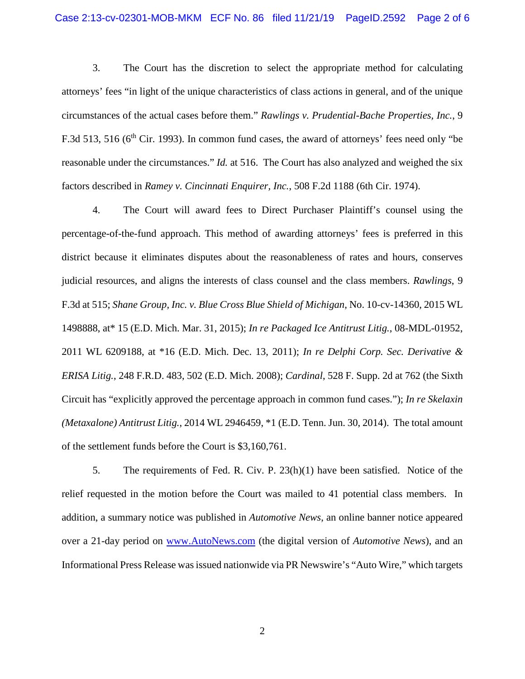3. The Court has the discretion to select the appropriate method for calculating attorneys' fees "in light of the unique characteristics of class actions in general, and of the unique circumstances of the actual cases before them." *Rawlings v. Prudential-Bache Properties, Inc.*, 9 F.3d 513, 516 (6<sup>th</sup> Cir. 1993). In common fund cases, the award of attorneys' fees need only "be reasonable under the circumstances." *Id.* at 516. The Court has also analyzed and weighed the six factors described in *Ramey v. Cincinnati Enquirer, Inc.*, 508 F.2d 1188 (6th Cir. 1974).

4. The Court will award fees to Direct Purchaser Plaintiff's counsel using the percentage-of-the-fund approach. This method of awarding attorneys' fees is preferred in this district because it eliminates disputes about the reasonableness of rates and hours, conserves judicial resources, and aligns the interests of class counsel and the class members. *Rawlings*, 9 F.3d at 515; *Shane Group, Inc. v. Blue Cross Blue Shield of Michigan*, No. 10-cv-14360, 2015 WL 1498888, at\* 15 (E.D. Mich. Mar. 31, 2015); *In re Packaged Ice Antitrust Litig.*, 08-MDL-01952, 2011 WL 6209188, at \*16 (E.D. Mich. Dec. 13, 2011); *In re Delphi Corp. Sec. Derivative & ERISA Litig.*, 248 F.R.D. 483, 502 (E.D. Mich. 2008); *Cardinal*, 528 F. Supp. 2d at 762 (the Sixth Circuit has "explicitly approved the percentage approach in common fund cases."); *In re Skelaxin (Metaxalone) Antitrust Litig.*, 2014 WL 2946459, \*1 (E.D. Tenn. Jun. 30, 2014). The total amount of the settlement funds before the Court is \$3,160,761.

5. The requirements of Fed. R. Civ. P. 23(h)(1) have been satisfied. Notice of the relief requested in the motion before the Court was mailed to 41 potential class members. In addition, a summary notice was published in *Automotive News*, an online banner notice appeared over a 21-day period on www.AutoNews.com (the digital version of *Automotive News*), and an Informational Press Release was issued nationwide via PR Newswire's "Auto Wire," which targets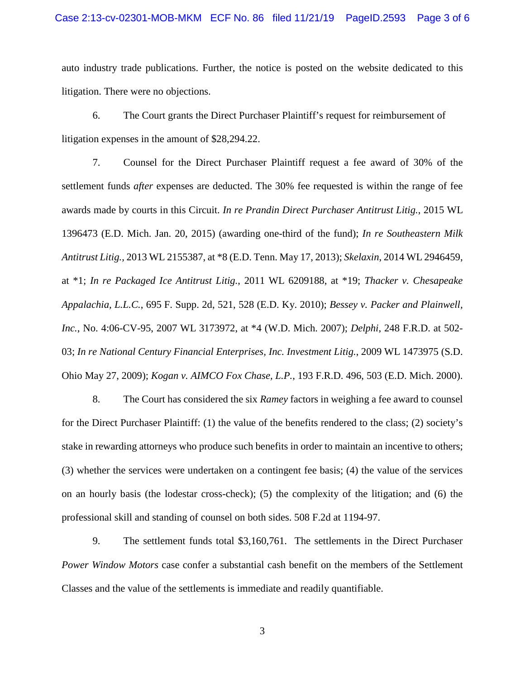## Case 2:13-cv-02301-MOB-MKM ECF No. 86 filed 11/21/19 PageID.2593 Page 3 of 6

auto industry trade publications. Further, the notice is posted on the website dedicated to this litigation. There were no objections.

6. The Court grants the Direct Purchaser Plaintiff's request for reimbursement of litigation expenses in the amount of \$28,294.22.

7. Counsel for the Direct Purchaser Plaintiff request a fee award of 30% of the settlement funds *after* expenses are deducted. The 30% fee requested is within the range of fee awards made by courts in this Circuit. *In re Prandin Direct Purchaser Antitrust Litig.*, 2015 WL 1396473 (E.D. Mich. Jan. 20, 2015) (awarding one-third of the fund); *In re Southeastern Milk Antitrust Litig.*, 2013 WL 2155387, at \*8 (E.D. Tenn. May 17, 2013); *Skelaxin*, 2014 WL 2946459, at \*1; *In re Packaged Ice Antitrust Litig.*, 2011 WL 6209188, at \*19; *Thacker v. Chesapeake Appalachia, L.L.C.*, 695 F. Supp. 2d, 521, 528 (E.D. Ky. 2010); *Bessey v. Packer and Plainwell, Inc.*, No. 4:06-CV-95, 2007 WL 3173972, at \*4 (W.D. Mich. 2007); *Delphi*, 248 F.R.D. at 502- 03; *In re National Century Financial Enterprises, Inc. Investment Litig.*, 2009 WL 1473975 (S.D. Ohio May 27, 2009); *Kogan v. AIMCO Fox Chase, L.P.*, 193 F.R.D. 496, 503 (E.D. Mich. 2000).

8. The Court has considered the six *Ramey* factors in weighing a fee award to counsel for the Direct Purchaser Plaintiff: (1) the value of the benefits rendered to the class; (2) society's stake in rewarding attorneys who produce such benefits in order to maintain an incentive to others; (3) whether the services were undertaken on a contingent fee basis; (4) the value of the services on an hourly basis (the lodestar cross-check); (5) the complexity of the litigation; and (6) the professional skill and standing of counsel on both sides. 508 F.2d at 1194-97.

9. The settlement funds total \$3,160,761. The settlements in the Direct Purchaser *Power Window Motors* case confer a substantial cash benefit on the members of the Settlement Classes and the value of the settlements is immediate and readily quantifiable.

3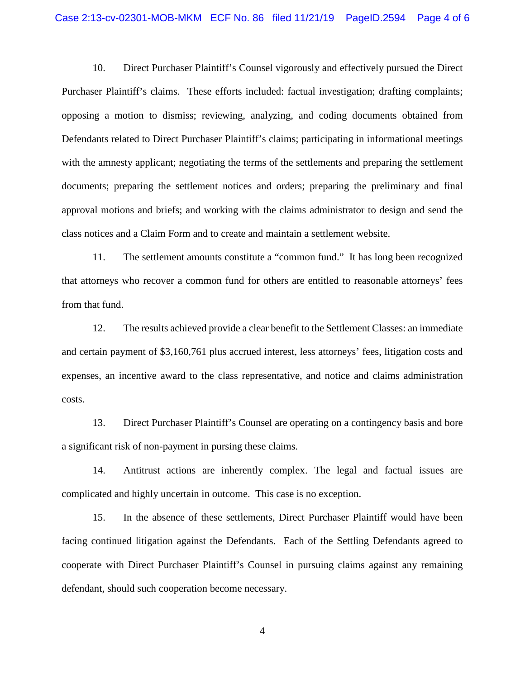10. Direct Purchaser Plaintiff's Counsel vigorously and effectively pursued the Direct Purchaser Plaintiff's claims. These efforts included: factual investigation; drafting complaints; opposing a motion to dismiss; reviewing, analyzing, and coding documents obtained from Defendants related to Direct Purchaser Plaintiff's claims; participating in informational meetings with the amnesty applicant; negotiating the terms of the settlements and preparing the settlement documents; preparing the settlement notices and orders; preparing the preliminary and final approval motions and briefs; and working with the claims administrator to design and send the class notices and a Claim Form and to create and maintain a settlement website.

11. The settlement amounts constitute a "common fund." It has long been recognized that attorneys who recover a common fund for others are entitled to reasonable attorneys' fees from that fund.

12. The results achieved provide a clear benefit to the Settlement Classes: an immediate and certain payment of \$3,160,761 plus accrued interest, less attorneys' fees, litigation costs and expenses, an incentive award to the class representative, and notice and claims administration costs.

13. Direct Purchaser Plaintiff's Counsel are operating on a contingency basis and bore a significant risk of non-payment in pursing these claims.

14. Antitrust actions are inherently complex. The legal and factual issues are complicated and highly uncertain in outcome. This case is no exception.

15. In the absence of these settlements, Direct Purchaser Plaintiff would have been facing continued litigation against the Defendants. Each of the Settling Defendants agreed to cooperate with Direct Purchaser Plaintiff's Counsel in pursuing claims against any remaining defendant, should such cooperation become necessary.

4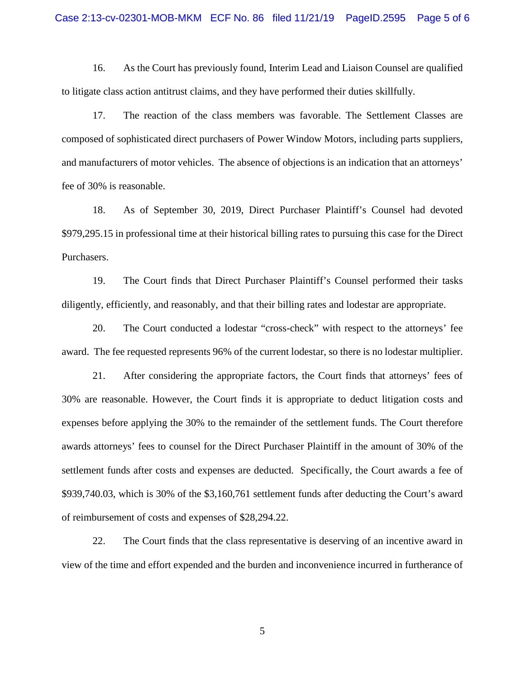16. As the Court has previously found, Interim Lead and Liaison Counsel are qualified to litigate class action antitrust claims, and they have performed their duties skillfully.

17. The reaction of the class members was favorable. The Settlement Classes are composed of sophisticated direct purchasers of Power Window Motors, including parts suppliers, and manufacturers of motor vehicles. The absence of objections is an indication that an attorneys' fee of 30% is reasonable.

18. As of September 30, 2019, Direct Purchaser Plaintiff's Counsel had devoted \$979,295.15 in professional time at their historical billing rates to pursuing this case for the Direct Purchasers.

19. The Court finds that Direct Purchaser Plaintiff's Counsel performed their tasks diligently, efficiently, and reasonably, and that their billing rates and lodestar are appropriate.

20. The Court conducted a lodestar "cross-check" with respect to the attorneys' fee award. The fee requested represents 96% of the current lodestar, so there is no lodestar multiplier.

21. After considering the appropriate factors, the Court finds that attorneys' fees of 30% are reasonable. However, the Court finds it is appropriate to deduct litigation costs and expenses before applying the 30% to the remainder of the settlement funds. The Court therefore awards attorneys' fees to counsel for the Direct Purchaser Plaintiff in the amount of 30% of the settlement funds after costs and expenses are deducted. Specifically, the Court awards a fee of \$939,740.03, which is 30% of the \$3,160,761 settlement funds after deducting the Court's award of reimbursement of costs and expenses of \$28,294.22.

22. The Court finds that the class representative is deserving of an incentive award in view of the time and effort expended and the burden and inconvenience incurred in furtherance of

5